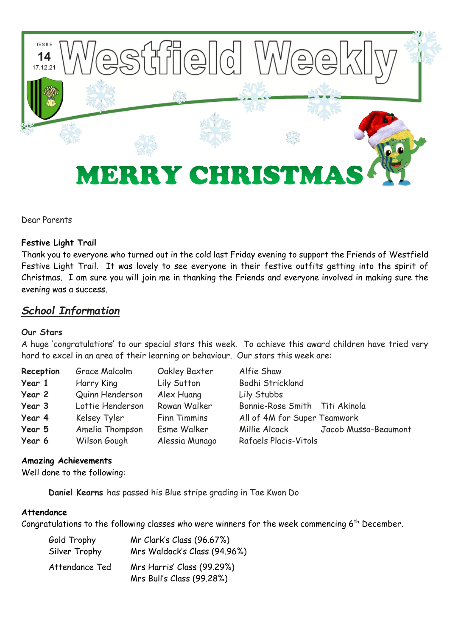

Dear Parents

## **Festive Light Trail**

Thank you to everyone who turned out in the cold last Friday evening to support the Friends of Westfield Festive Light Trail. It was lovely to see everyone in their festive outfits getting into the spirit of Christmas. I am sure you will join me in thanking the Friends and everyone involved in making sure the evening was a success.

# *School Information*

## **Our Stars**

A huge 'congratulations' to our special stars this week. To achieve this award children have tried very hard to excel in an area of their learning or behaviour. Our stars this week are:

| Reception | Grace Malcolm    | Oakley Baxter  | Alfie Shaw                     |                      |
|-----------|------------------|----------------|--------------------------------|----------------------|
| Year 1    | Harry King       | Lily Sutton    | Bodhi Strickland               |                      |
| Year 2    | Quinn Henderson  | Alex Huang     | Lily Stubbs                    |                      |
| Year 3    | Lottie Henderson | Rowan Walker   | Bonnie-Rose Smith Titi Akinola |                      |
| Year 4    | Kelsey Tyler     | Finn Timmins   | All of 4M for Super Teamwork   |                      |
| Year 5    | Amelia Thompson  | Esme Walker    | Millie Alcock                  | Jacob Mussa-Beaumont |
| Year 6    | Wilson Gough     | Alessia Munago | Rafaels Placis-Vitols          |                      |

## **Amazing Achievements**

Well done to the following:

**Daniel Kearns** has passed his Blue stripe grading in Tae Kwon Do

#### **Attendance**

Congratulations to the following classes who were winners for the week commencing 6<sup>th</sup> December.

| Gold Trophy    | Mr Clark's Class (96.67%)                               |  |  |
|----------------|---------------------------------------------------------|--|--|
| Silver Trophy  | Mrs Waldock's Class (94.96%)                            |  |  |
| Attendance Ted | Mrs Harris' Class (99.29%)<br>Mrs Bull's Class (99.28%) |  |  |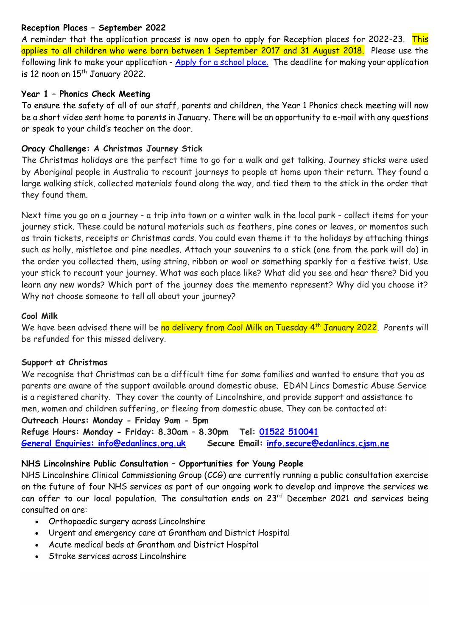## **Reception Places – September 2022**

A reminder that the application process is now open to apply for Reception places for 2022-23. This applies to all children who were born between 1 September 2017 and 31 August 2018. Please use the following link to make your application - [Apply for a school place.](https://www.lincolnshire.gov.uk/school-admissions/apply-school-place) The deadline for making your application is 12 noon on  $15<sup>th</sup>$  January 2022.

## **Year 1 – Phonics Check Meeting**

To ensure the safety of all of our staff, parents and children, the Year 1 Phonics check meeting will now be a short video sent home to parents in January. There will be an opportunity to e-mail with any questions or speak to your child's teacher on the door.

## **Oracy Challenge: A Christmas Journey Stick**

The Christmas holidays are the perfect time to go for a walk and get talking. Journey sticks were used by Aboriginal people in Australia to recount journeys to people at home upon their return. They found a large walking stick, collected materials found along the way, and tied them to the stick in the order that they found them.

Next time you go on a journey - a trip into town or a winter walk in the local park - collect items for your journey stick. These could be natural materials such as feathers, pine cones or leaves, or momentos such as train tickets, receipts or Christmas cards. You could even theme it to the holidays by attaching things such as holly, mistletoe and pine needles. Attach your souvenirs to a stick (one from the park will do) in the order you collected them, using string, ribbon or wool or something sparkly for a festive twist. Use your stick to recount your journey. What was each place like? What did you see and hear there? Did you learn any new words? Which part of the journey does the memento represent? Why did you choose it? Why not choose someone to tell all about your journey?

#### **Cool Milk**

We have been advised there will be no delivery from Cool Milk on Tuesday 4<sup>th</sup> January 2022. Parents will be refunded for this missed delivery.

#### **Support at Christmas**

We recognise that Christmas can be a difficult time for some families and wanted to ensure that you as parents are aware of the support available around domestic abuse. EDAN Lincs Domestic Abuse Service is a registered charity. They cover the county of Lincolnshire, and provide support and assistance to men, women and children suffering, or fleeing from domestic abuse. They can be contacted at:

#### **Outreach Hours: Monday - Friday 9am - 5pm**

**Refuge Hours: Monday - Friday: 8.30am – 8.30pm Tel: 01522 [510041](tel:01522%20510041) [General Enquiries:](tel:01522%20510041) [info@edanlincs.org.uk](mailto:info@edanlincs.org.uk) Secure Email: [info.secure@edanlincs.cjsm.ne](mailto:info.secure@edanlincs.cjsm.net)**

## **NHS Lincolnshire Public Consultation – Opportunities for Young People**

NHS Lincolnshire Clinical Commissioning Group (CCG) are currently running a public consultation exercise on the future of four NHS services as part of our ongoing work to develop and improve the services we can offer to our local population. The consultation ends on 23rd December 2021 and services being consulted on are:

- Orthopaedic surgery across Lincolnshire
- Urgent and emergency care at Grantham and District Hospital
- Acute medical beds at Grantham and District Hospital
- Stroke services across Lincolnshire